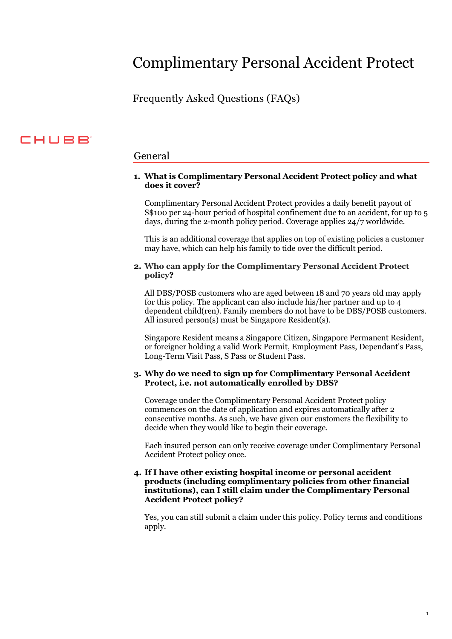# Complimentary Personal Accident Protect

Frequently Asked Questions (FAQs)

## **CHUBB**

### General

#### **1. What is Complimentary Personal Accident Protect policy and what does it cover?**

Complimentary Personal Accident Protect provides a daily benefit payout of S\$100 per 24-hour period of hospital confinement due to an accident, for up to 5 days, during the 2-month policy period. Coverage applies 24/7 worldwide.

This is an additional coverage that applies on top of existing policies a customer may have, which can help his family to tide over the difficult period.

#### **2. Who can apply for the Complimentary Personal Accident Protect policy?**

All DBS/POSB customers who are aged between 18 and 70 years old may apply for this policy. The applicant can also include his/her partner and up to 4 dependent child(ren). Family members do not have to be DBS/POSB customers. All insured person(s) must be Singapore Resident(s).

Singapore Resident means a Singapore Citizen, Singapore Permanent Resident, or foreigner holding a valid Work Permit, Employment Pass, Dependant's Pass, Long-Term Visit Pass, S Pass or Student Pass.

#### **3. Why do we need to sign up for Complimentary Personal Accident Protect, i.e. not automatically enrolled by DBS?**

Coverage under the Complimentary Personal Accident Protect policy commences on the date of application and expires automatically after 2 consecutive months. As such, we have given our customers the flexibility to decide when they would like to begin their coverage.

Each insured person can only receive coverage under Complimentary Personal Accident Protect policy once.

#### **4. If I have other existing hospital income or personal accident products (including complimentary policies from other financial institutions), can I still claim under the Complimentary Personal Accident Protect policy?**

Yes, you can still submit a claim under this policy. Policy terms and conditions apply.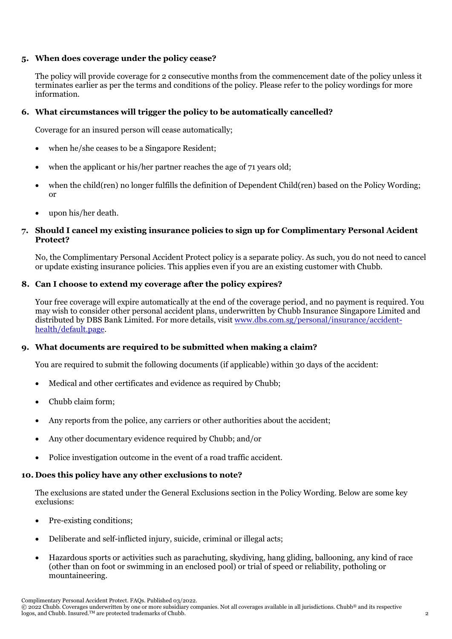#### **5. When does coverage under the policy cease?**

The policy will provide coverage for 2 consecutive months from the commencement date of the policy unless it terminates earlier as per the terms and conditions of the policy. Please refer to the policy wordings for more information.

#### **6. What circumstances will trigger the policy to be automatically cancelled?**

Coverage for an insured person will cease automatically;

- when he/she ceases to be a Singapore Resident;
- when the applicant or his/her partner reaches the age of 71 years old;
- when the child(ren) no longer fulfills the definition of Dependent Child(ren) based on the Policy Wording; or
- upon his/her death.

#### **7. Should I cancel my existing insurance policies to sign up for Complimentary Personal Acident Protect?**

No, the Complimentary Personal Accident Protect policy is a separate policy. As such, you do not need to cancel or update existing insurance policies. This applies even if you are an existing customer with Chubb.

#### **8. Can I choose to extend my coverage after the policy expires?**

Your free coverage will expire automatically at the end of the coverage period, and no payment is required. You may wish to consider other personal accident plans, underwritten by Chubb Insurance Singapore Limited and distributed by DBS Bank Limited. For more details, visit [www.dbs.com.sg/personal/insurance/accident](http://www.dbs.com.sg/personal/insurance/accident-health/default.page)[health/default.page.](http://www.dbs.com.sg/personal/insurance/accident-health/default.page)

#### **9. What documents are required to be submitted when making a claim?**

You are required to submit the following documents (if applicable) within 30 days of the accident:

- Medical and other certificates and evidence as required by Chubb;
- Chubb claim form;
- Any reports from the police, any carriers or other authorities about the accident;
- Any other documentary evidence required by Chubb; and/or
- Police investigation outcome in the event of a road traffic accident.

#### **10. Does this policy have any other exclusions to note?**

The exclusions are stated under the General Exclusions section in the Policy Wording. Below are some key exclusions:

- Pre-existing conditions;
- Deliberate and self-inflicted injury, suicide, criminal or illegal acts;
- Hazardous sports or activities such as parachuting, skydiving, hang gliding, ballooning, any kind of race (other than on foot or swimming in an enclosed pool) or trial of speed or reliability, potholing or mountaineering.

Complimentary Personal Accident Protect. FAQs. Published 03/2022.